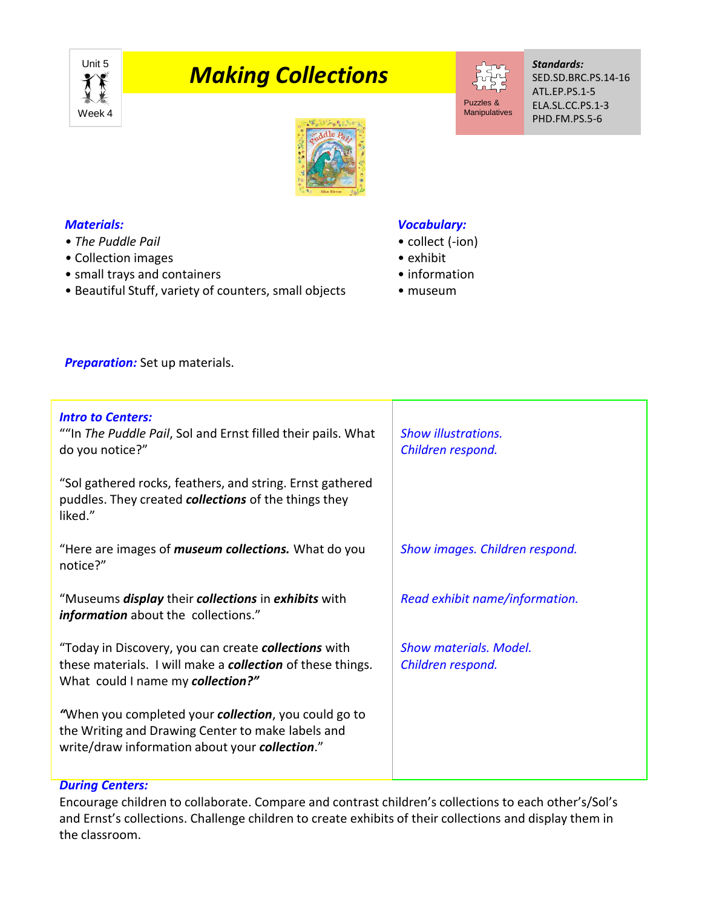

# **Making Collections**



#### *Standards:* SED.SD.BRC.PS.14-16 ATL.EP.PS.1-5 ELA.SL.CC.PS.1-3 PHD.FM.PS.5-6



#### *Materials:*

- *The Puddle Pail*
- Collection images
- small trays and containers
- Beautiful Stuff, variety of counters, small objects

### *Vocabulary:*

- collect (-ion)
- exhibit
- information
- museum

**Preparation:** Set up materials.

| <b>Intro to Centers:</b><br>""In The Puddle Pail, Sol and Ernst filled their pails. What<br>do you notice?"                                                         | <b>Show illustrations.</b><br>Children respond. |
|---------------------------------------------------------------------------------------------------------------------------------------------------------------------|-------------------------------------------------|
| "Sol gathered rocks, feathers, and string. Ernst gathered<br>puddles. They created <b>collections</b> of the things they<br>liked."                                 |                                                 |
| "Here are images of <i>museum collections</i> . What do you<br>notice?"                                                                                             | Show images. Children respond.                  |
| "Museums <i>display</i> their <i>collections</i> in <i>exhibits</i> with<br>information about the collections."                                                     | Read exhibit name/information.                  |
| "Today in Discovery, you can create collections with<br>these materials. I will make a <b>collection</b> of these things.<br>What could I name my collection?"      | Show materials, Model.<br>Children respond.     |
| "When you completed your <b>collection</b> , you could go to<br>the Writing and Drawing Center to make labels and<br>write/draw information about your collection." |                                                 |

## *During Centers:*

Encourage children to collaborate. Compare and contrast children's collections to each other's/Sol's and Ernst's collections. Challenge children to create exhibits of their collections and display them in the classroom.